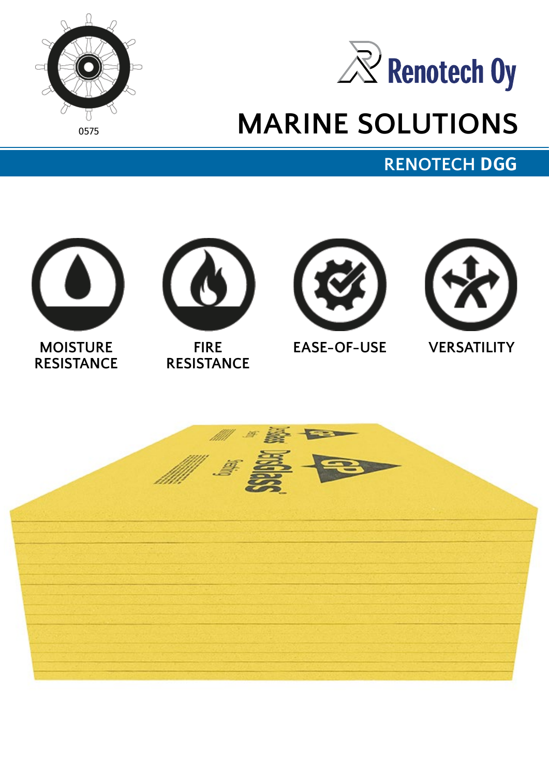



# **MARINE SOLUTIONS**

**RENOTECH DGG**





**FIRE RESISTANCE**





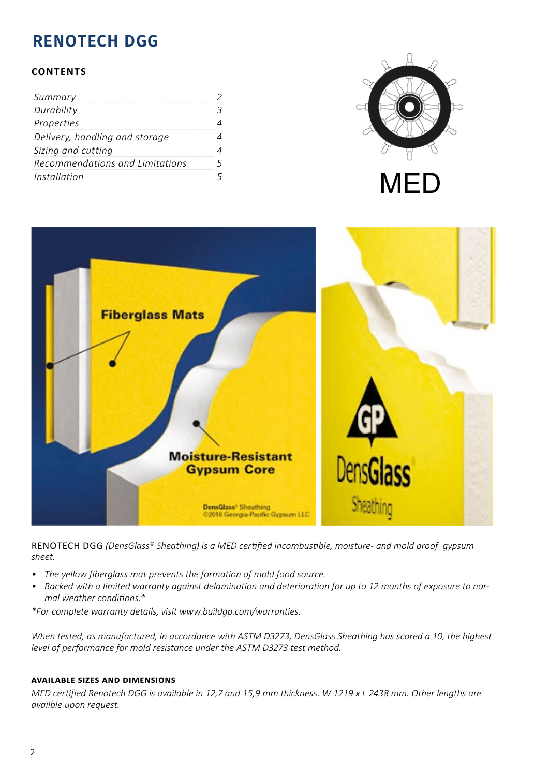## **RENOTECH DGG**

#### **CONTENTS**

| Summary                         |  |
|---------------------------------|--|
| Durability                      |  |
| Properties                      |  |
| Delivery, handling and storage  |  |
| Sizing and cutting              |  |
| Recommendations and Limitations |  |
| Installation                    |  |





RENOTECH DGG (DensGlass® Sheathing) is a MED certified incombustible, moisture- and mold proof gypsum *sheet.*

- The yellow fiberglass mat prevents the formation of mold food source.
- Backed with a limited warranty against delamination and deterioration for up to 12 months of exposure to normal weather conditions.\*

*\*For complete warranty details, visit www.buildgp.com/warranties.* 

*When tested, as manufactured, in accordance with ASTM D3273, DensGlass Sheathing has scored a 10, the highest level of performance for mold resistance under the ASTM D3273 test method.*

#### **AVAILABLE SIZES AND DIMENSIONS**

*MED certified Renotech DGG is available in 12.7 and 15.9 mm thickness. W 1219 x L 2438 mm. Other lenaths are availble upon request.*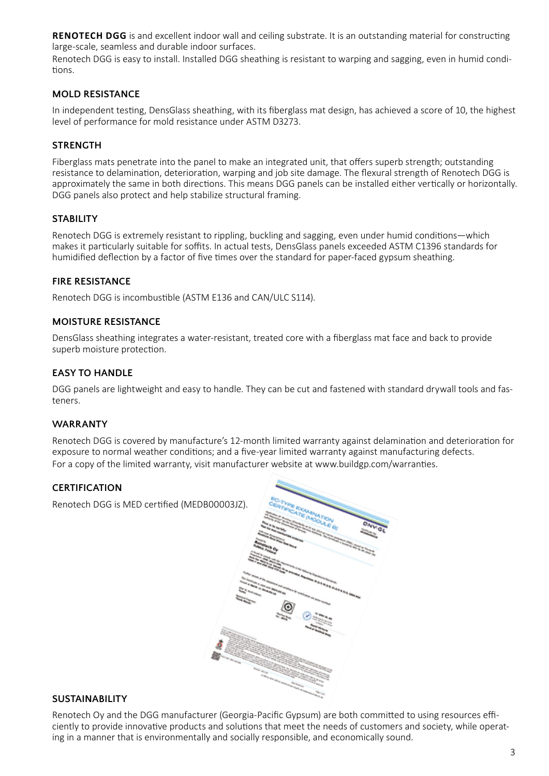**RENOTECH DGG** is and excellent indoor wall and ceiling substrate. It is an outstanding material for constructing large-scale, seamless and durable indoor surfaces.

Renotech DGG is easy to install. Installed DGG sheathing is resistant to warping and sagging, even in humid conditions.

#### **MOLD RESISTANCE**

In independent testing, DensGlass sheathing, with its fiberglass mat design, has achieved a score of 10, the highest level of performance for mold resistance under ASTM D3273.

#### **STRENGTH**

Fiberglass mats penetrate into the panel to make an integrated unit, that offers superb strength; outstanding resistance to delamination, deterioration, warping and job site damage. The flexural strength of Renotech DGG is approximately the same in both directions. This means DGG panels can be installed either vertically or horizontally. DGG panels also protect and help stabilize structural framing.

#### **STABILITY**

Renotech DGG is extremely resistant to rippling, buckling and sagging, even under humid conditions—which makes it particularly suitable for soffits. In actual tests, DensGlass panels exceeded ASTM C1396 standards for humidified deflection by a factor of five times over the standard for paper-faced gypsum sheathing.

#### **FIRE RESISTANCE**

Renotech DGG is incombustible (ASTM E136 and CAN/ULC S114).

#### **MOISTURE RESISTANCE**

DensGlass sheathing integrates a water-resistant, treated core with a fiberglass mat face and back to provide superb moisture protection.

#### **EASY TO HANDLE**

DGG panels are lightweight and easy to handle. They can be cut and fastened with standard drywall tools and fasteners.

#### **WARRANTY**

Renotech DGG is covered by manufacture's 12-month limited warranty against delamination and deterioration for exposure to normal weather conditions; and a five-year limited warranty against manufacturing defects. For a copy of the limited warranty, visit manufacturer website at www.buildgp.com/warranties.

#### **CERTIFICATION**

Renotech DGG is MED certified (MEDB00003JZ).



#### **SUSTAINABILITY**

Renotech Oy and the DGG manufacturer (Georgia-Pacific Gypsum) are both committed to using resources efficiently to provide innovative products and solutions that meet the needs of customers and society, while operating in a manner that is environmentally and socially responsible, and economically sound.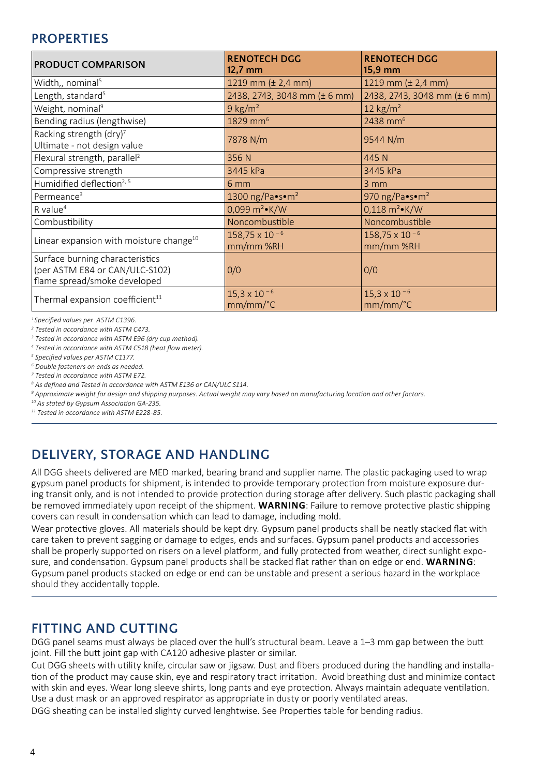### **PROPERTIES**

| <b>PRODUCT COMPARISON</b>                                                                         | <b>RENOTECH DGG</b><br>$12,7$ mm  | <b>RENOTECH DGG</b><br>15,9 mm                 |
|---------------------------------------------------------------------------------------------------|-----------------------------------|------------------------------------------------|
| Width,, nominal <sup>5</sup>                                                                      | 1219 mm $(\pm 2, 4$ mm)           | 1219 mm $(\pm 2, 4 \text{ mm})$                |
| Length, standard <sup>5</sup>                                                                     | 2438, 2743, 3048 mm (± 6 mm)      | 2438, 2743, 3048 mm (± 6 mm)                   |
| Weight, nominal <sup>9</sup>                                                                      | $9$ kg/m <sup>2</sup>             | 12 $\text{kg/m}^2$                             |
| Bending radius (lengthwise)                                                                       | 1829 mm <sup>6</sup>              | 2438 mm <sup>6</sup>                           |
| Racking strength (dry) <sup>7</sup><br>Ultimate - not design value                                | 7878 N/m                          | 9544 N/m                                       |
| Flexural strength, parallel <sup>2</sup>                                                          | 356 N                             | 445 N                                          |
| Compressive strength                                                                              | 3445 kPa                          | 3445 kPa                                       |
| Humidified deflection <sup>2, 5</sup>                                                             | 6 mm                              | $3 \, \text{mm}$                               |
| Permeance <sup>3</sup>                                                                            | 1300 ng/Pa•s•m <sup>2</sup>       | 970 ng/Pa $\bullet$ s $\bullet$ m <sup>2</sup> |
| $R$ value <sup>4</sup>                                                                            | 0,099 $m^2$ K/W                   | $0,118 \text{ m}^2 \cdot \text{K/W}$           |
| Combustibility                                                                                    | Noncombustible                    | Noncombustible                                 |
| Linear expansion with moisture change <sup>10</sup>                                               | 158,75 x 10 $-6$<br>mm/mm %RH     | 158,75 x 10 $-6$<br>mm/mm %RH                  |
| Surface burning characteristics<br>(per ASTM E84 or CAN/ULC-S102)<br>flame spread/smoke developed | 0/0                               | 0/0                                            |
| Thermal expansion coefficient <sup>11</sup>                                                       | $15,3 \times 10^{-6}$<br>mm/mm/°C | $15,3 \times 10^{-6}$<br>mm/mm/°C              |

*1 Specified values per ASTM C1396.*

*2 Tested in accordance with ASTM C473.*

*3 Tested in accordance with ASTM E96 (dry cup method).*

*4 Tested in accordance with ASTM C518 (heat flow meter).*

*5 Specified values per ASTM C1177.*

*6 Double fasteners on ends as needed.*

*7 Tested in accordance with ASTM E72. 8 As defined and Tested in accordance with ASTM E136 or CAN/ULC S114.*

*9 Approximate weight for design and shipping purposes. Actual weight may vary based on manufacturing location and other factors.*

*10 As stated by Gypsum Association GA-235.*

*11 Tested in accordance with ASTM E228-85.*

## **DELIVERY, STORAGE AND HANDLING**

All DGG sheets delivered are MED marked, bearing brand and supplier name. The plastic packaging used to wrap gypsum panel products for shipment, is intended to provide temporary protection from moisture exposure during transit only, and is not intended to provide protection during storage after delivery. Such plastic packaging shall be removed immediately upon receipt of the shipment. **WARNING**: Failure to remove protective plastic shipping covers can result in condensation which can lead to damage, including mold.

Wear protective gloves. All materials should be kept dry. Gypsum panel products shall be neatly stacked flat with care taken to prevent sagging or damage to edges, ends and surfaces. Gypsum panel products and accessories shall be properly supported on risers on a level platform, and fully protected from weather, direct sunlight exposure, and condensation. Gypsum panel products shall be stacked flat rather than on edge or end. **WARNING**: Gypsum panel products stacked on edge or end can be unstable and present a serious hazard in the workplace should they accidentally topple.

## **FITTING AND CUTTING**

DGG panel seams must always be placed over the hull's structural beam. Leave a 1–3 mm gap between the butt joint. Fill the butt joint gap with CA120 adhesive plaster or similar.

Cut DGG sheets with utility knife, circular saw or jigsaw. Dust and fibers produced during the handling and installation of the product may cause skin, eye and respiratory tract irritation. Avoid breathing dust and minimize contact with skin and eyes. Wear long sleeve shirts, long pants and eye protection. Always maintain adequate ventilation. Use a dust mask or an approved respirator as appropriate in dusty or poorly ventilated areas.

DGG sheating can be installed slighty curved lenghtwise. See Properties table for bending radius.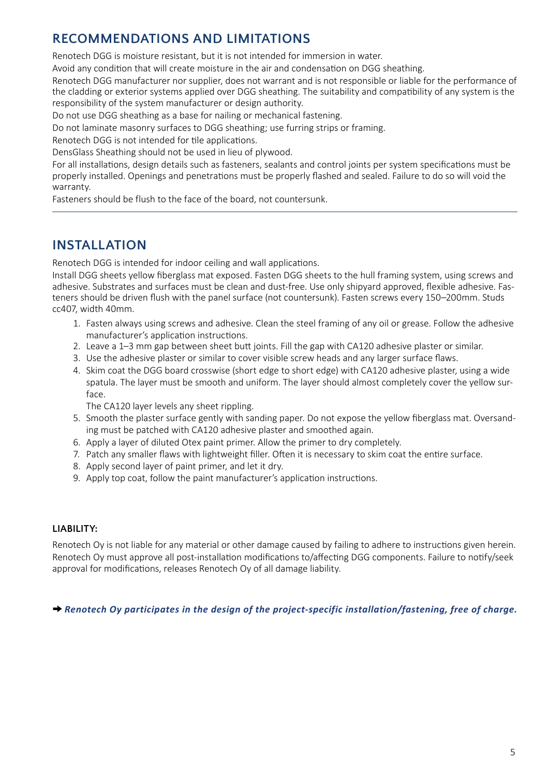## **RECOMMENDATIONS AND LIMITATIONS**

Renotech DGG is moisture resistant, but it is not intended for immersion in water.

Avoid any condition that will create moisture in the air and condensation on DGG sheathing.

Renotech DGG manufacturer nor supplier, does not warrant and is not responsible or liable for the performance of the cladding or exterior systems applied over DGG sheathing. The suitability and compatibility of any system is the responsibility of the system manufacturer or design authority.

Do not use DGG sheathing as a base for nailing or mechanical fastening.

Do not laminate masonry surfaces to DGG sheathing; use furring strips or framing.

Renotech DGG is not intended for tile applications.

DensGlass Sheathing should not be used in lieu of plywood.

For all installations, design details such as fasteners, sealants and control joints per system specifications must be properly installed. Openings and penetrations must be properly flashed and sealed. Failure to do so will void the warranty.

Fasteners should be flush to the face of the board, not countersunk.

## **INSTALLATION**

Renotech DGG is intended for indoor ceiling and wall applications.

Install DGG sheets yellow fiberglass mat exposed. Fasten DGG sheets to the hull framing system, using screws and adhesive. Substrates and surfaces must be clean and dust-free. Use only shipyard approved, flexible adhesive. Fasteners should be driven flush with the panel surface (not countersunk). Fasten screws every 150–200mm. Studs cc407, width 40mm.

- 1. Fasten always using screws and adhesive. Clean the steel framing of any oil or grease. Follow the adhesive manufacturer's application instructions.
- 2. Leave a 1–3 mm gap between sheet butt joints. Fill the gap with CA120 adhesive plaster or similar.
- 3. Use the adhesive plaster or similar to cover visible screw heads and any larger surface flaws.
- 4. Skim coat the DGG board crosswise (short edge to short edge) with CA120 adhesive plaster, using a wide spatula. The layer must be smooth and uniform. The layer should almost completely cover the yellow surface.

The CA120 layer levels any sheet rippling.

- 5. Smooth the plaster surface gently with sanding paper. Do not expose the yellow fiberglass mat. Oversanding must be patched with CA120 adhesive plaster and smoothed again.
- 6. Apply a layer of diluted Otex paint primer. Allow the primer to dry completely.
- 7. Patch any smaller flaws with lightweight filler. Often it is necessary to skim coat the entire surface.
- 8. Apply second layer of paint primer, and let it dry.
- 9. Apply top coat, follow the paint manufacturer's application instructions.

#### **LIABILITY:**

Renotech Oy is not liable for any material or other damage caused by failing to adhere to instructions given herein. Renotech Oy must approve all post-installation modifications to/affecting DGG components. Failure to notify/seek approval for modifications, releases Renotech Oy of all damage liability.

→ *Renotech Oy participates in the design of the project-specific installation/fastening, free of charge.*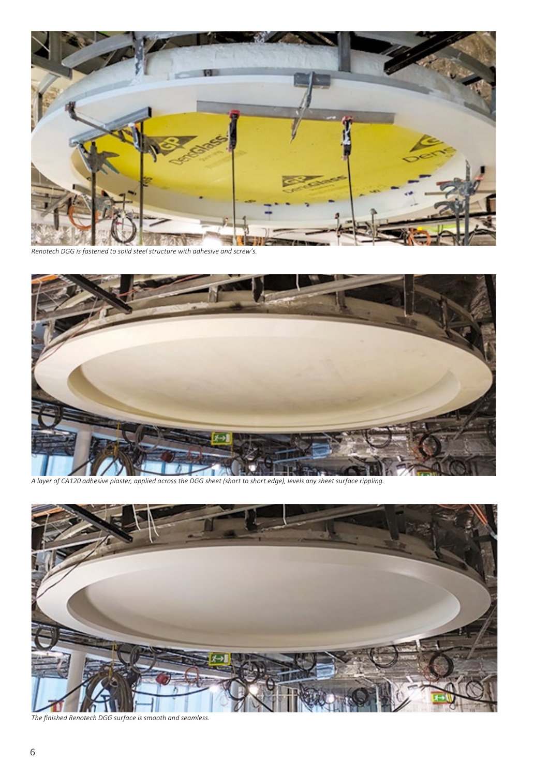

*Renotech DGG is fastened to solid steel structure with adhesive and screw's.*



*A layer of CA120 adhesive plaster, applied across the DGG sheet (short to short edge), levels any sheet surface rippling.*



*The finished Renotech DGG surface is smooth and seamless.*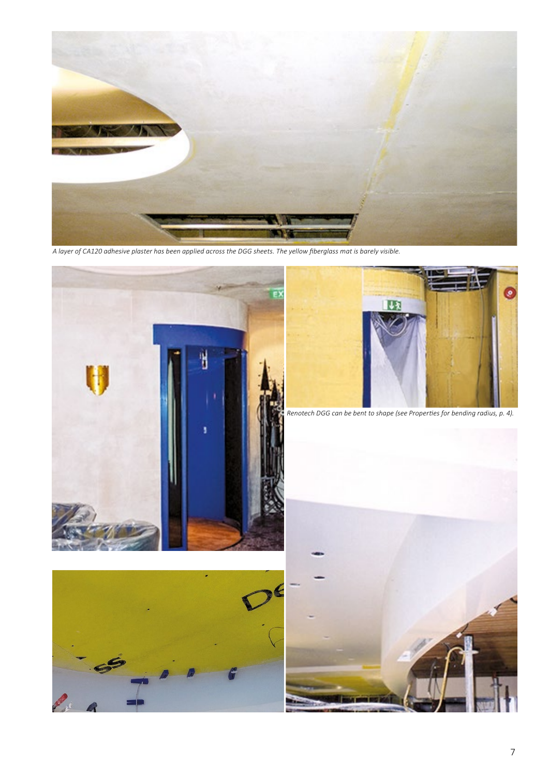

*A layer of CA120 adhesive plaster has been applied across the DGG sheets. The yellow fiberglass mat is barely visible.*





*Renotech DGG can be bent to shape (see Properties for bending radius, p. 4).*